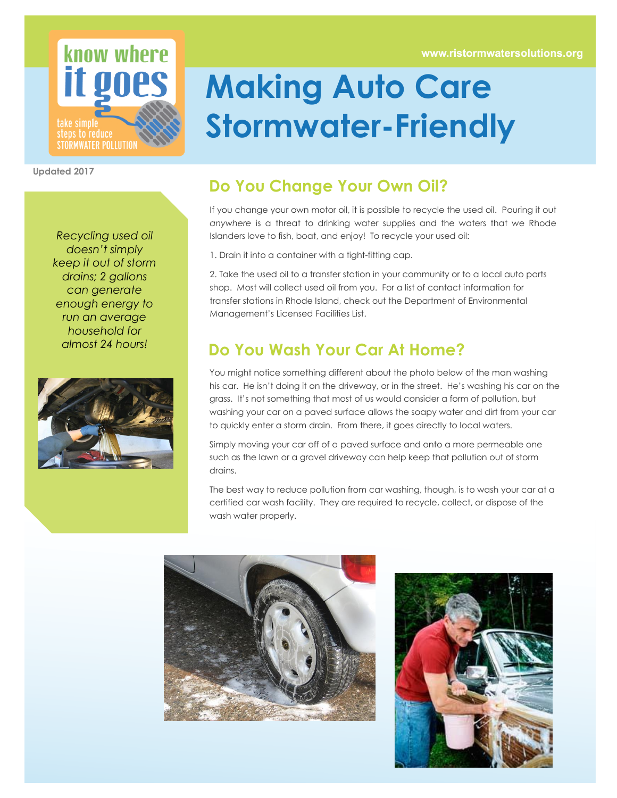www.ristormwatersolutions.org



**Updated 2017**

*Recycling used oil doesn't simply keep it out of storm drains; 2 gallons can generate enough energy to run an average household for almost 24 hours!*



## **Making Auto Care Stormwater-Friendly**

## **Do You Change Your Own Oil?**

If you change your own motor oil, it is possible to recycle the used oil. Pouring it out *anywhere* is a threat to drinking water supplies and the waters that we Rhode Islanders love to fish, boat, and enjoy! To recycle your used oil:

1. Drain it into a container with a tight-fitting cap.

2. Take the used oil to a transfer station in your community or to a local auto parts shop. Most will collect used oil from you. For a list of contact information for transfer stations in Rhode Island, check out the Department of Environmental Management's Licensed Facilities List.

## **Do You Wash Your Car At Home?**

You might notice something different about the photo below of the man washing his car. He isn't doing it on the driveway, or in the street. He's washing his car on the grass. It's not something that most of us would consider a form of pollution, but washing your car on a paved surface allows the soapy water and dirt from your car to quickly enter a storm drain. From there, it goes directly to local waters.

Simply moving your car off of a paved surface and onto a more permeable one such as the lawn or a gravel driveway can help keep that pollution out of storm drains.

The best way to reduce pollution from car washing, though, is to wash your car at a certified car wash facility. They are required to recycle, collect, or dispose of the wash water properly.